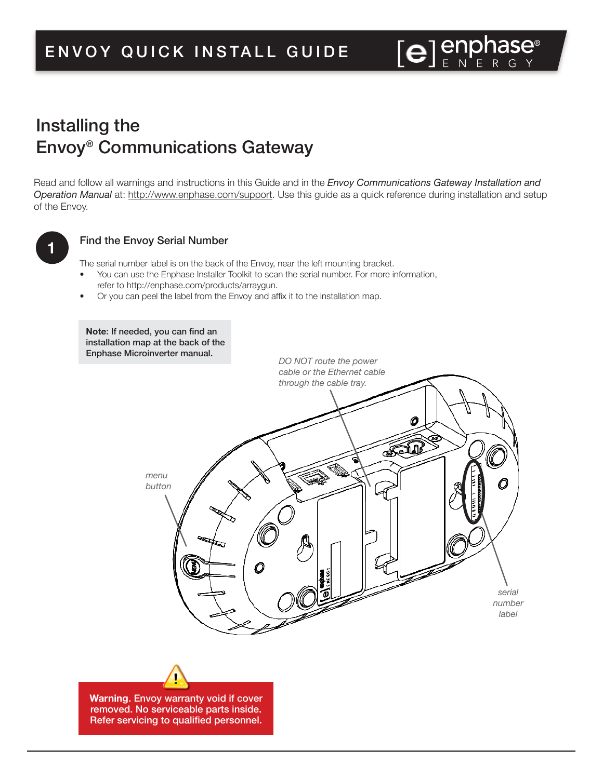# Installing the Envoy® Communications Gateway

Read and follow all warnings and instructions in this Guide and in the *Envoy Communications Gateway Installation and Operation Manual* at: http://www.enphase.com/support. Use this guide as a quick reference during installation and setup of the Envoy.



#### Find the Envoy Serial Number

The serial number label is on the back of the Envoy, near the left mounting bracket.

- You can use the Enphase Installer Toolkit to scan the serial number. For more information, refer to http://enphase.com/products/arraygun.
- Or you can peel the label from the Envoy and afix it to the installation map.

**Note:** If needed, you can find an installation map at the back of the Enphase Microinverter manual. *DO NOT route the power cable or the Ethernet cable through the cable tray.*Ø للأهج S *menu button*  $\textcircled{\small{1}}$ Ω *serial number label*

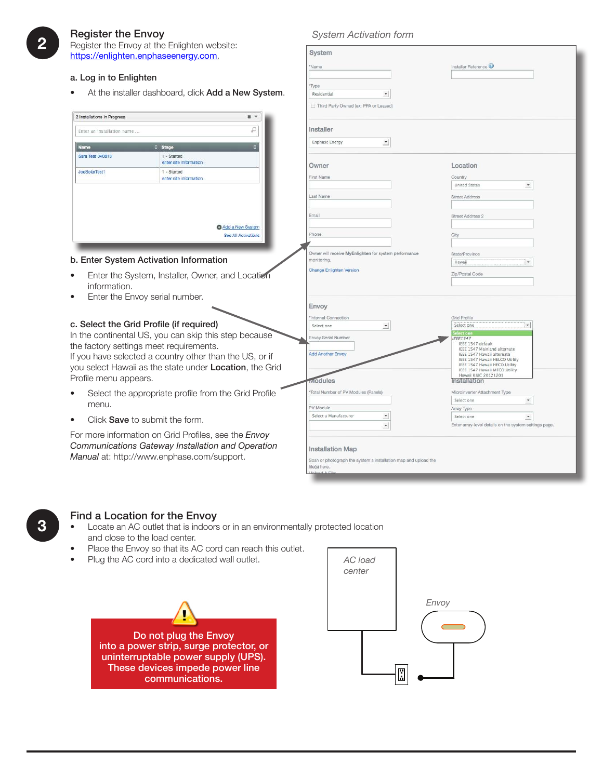#### Register the Envoy

Register the Envoy at the Enlighten website: https://

#### a. Log

### *System Activation form*

| <u>Heyster the Linty at the Linghien website.</u><br>https://enlighten.enphaseenergy.com.                                                               |                                                         | System                                                               |                                                                                        |  |
|---------------------------------------------------------------------------------------------------------------------------------------------------------|---------------------------------------------------------|----------------------------------------------------------------------|----------------------------------------------------------------------------------------|--|
|                                                                                                                                                         |                                                         | 'Name                                                                | Installer Reference                                                                    |  |
| a. Log in to Enlighten                                                                                                                                  |                                                         |                                                                      |                                                                                        |  |
|                                                                                                                                                         |                                                         | Type                                                                 |                                                                                        |  |
|                                                                                                                                                         | At the installer dashboard, click Add a New System.     | Residential<br>$\tau$                                                |                                                                                        |  |
|                                                                                                                                                         |                                                         | Third Party Owned (ex: PPA or Leased)                                |                                                                                        |  |
| 2 Installations In Progress                                                                                                                             | 县 -                                                     |                                                                      |                                                                                        |  |
| ρ<br>Enter an installation name                                                                                                                         |                                                         | Installer                                                            |                                                                                        |  |
| Name                                                                                                                                                    | E<br>C Stage                                            | $\overline{\phantom{a}}$<br><b>Enphase Energy</b>                    |                                                                                        |  |
| Sara Test 040813                                                                                                                                        | 1 - Started                                             |                                                                      |                                                                                        |  |
|                                                                                                                                                         | enter site information                                  | Owner                                                                | Location                                                                               |  |
| JoeSolarTest1                                                                                                                                           | 1 - Started<br>enter site information                   | First Name                                                           | Country                                                                                |  |
|                                                                                                                                                         |                                                         |                                                                      | $\blacktriangledown$<br><b>United States</b>                                           |  |
|                                                                                                                                                         |                                                         | Last Name                                                            | <b>Street Address</b>                                                                  |  |
|                                                                                                                                                         |                                                         | Email                                                                | Street Address 2                                                                       |  |
|                                                                                                                                                         | Add a New System                                        |                                                                      |                                                                                        |  |
|                                                                                                                                                         | See All Activations                                     | Phone                                                                | City                                                                                   |  |
|                                                                                                                                                         |                                                         |                                                                      |                                                                                        |  |
|                                                                                                                                                         | b. Enter System Activation Information                  | Owner will receive MyEnlighten for system performance<br>monitoring. | State/Province<br>$\pmb{\cdot}$<br>Hawaii                                              |  |
|                                                                                                                                                         |                                                         | <b>Change Enlighten Version</b>                                      | Zip/Postal Code                                                                        |  |
| Enter the System, Installer, Owner, and Location<br>$\bullet$                                                                                           |                                                         |                                                                      |                                                                                        |  |
| information.<br>Enter the Envoy serial number.<br>$\bullet$                                                                                             |                                                         |                                                                      |                                                                                        |  |
|                                                                                                                                                         |                                                         | Envoy                                                                |                                                                                        |  |
|                                                                                                                                                         |                                                         | Internet Connection                                                  | Grid Profile                                                                           |  |
|                                                                                                                                                         | c. Select the Grid Profile (if required)                | $\overline{\mathbf{z}}$<br>Select one                                | Select one                                                                             |  |
|                                                                                                                                                         | In the continental US, you can skip this step because   | Envoy Serial Number                                                  | elect on<br><b>EEE1547</b>                                                             |  |
|                                                                                                                                                         | the factory settings meet requirements.                 | <b>Add Another Envoy</b>                                             | IEEE 1547 default<br><b>IEEE 1547 Mainland alternate</b><br>IEEE 1547 Hawaii alternate |  |
|                                                                                                                                                         | If you have selected a country other than the US, or if |                                                                      | IEEE 1547 Hawaii HELCO Utility<br>IEEE 1547 Hawaii HECO Utility                        |  |
| you select Hawaii as the state under Location, the Grid                                                                                                 |                                                         |                                                                      | IEEE 1547 Hawaii MECO Utility<br>Hawaii KIUC 20121201                                  |  |
| Profile menu appears.                                                                                                                                   |                                                         | <b><i><u>dodules</u></i></b>                                         | Installation                                                                           |  |
| $\bullet$                                                                                                                                               | Select the appropriate profile from the Grid Profile    | 'Total Number of PV Modules (Panels)                                 | Microinverter Attachment Type                                                          |  |
| menu.                                                                                                                                                   |                                                         | PV Module                                                            | $\blacktriangledown$<br>Select one<br>Array Type                                       |  |
| $\bullet$                                                                                                                                               | Click Save to submit the form.                          | Select a Manufacturer<br>$\overline{\phantom{a}}$                    | $\blacktriangledown$<br>Select one                                                     |  |
|                                                                                                                                                         |                                                         | $^\star$                                                             | Enter array-level details on the system settings page.                                 |  |
| For more information on Grid Profiles, see the Envoy<br>Communications Gateway Installation and Operation<br>Manual at: http://www.enphase.com/support. |                                                         |                                                                      |                                                                                        |  |
|                                                                                                                                                         |                                                         | <b>Installation Map</b>                                              |                                                                                        |  |
|                                                                                                                                                         |                                                         | file(s) here.                                                        | Scan or photograph the system's installation map and upload the                        |  |
|                                                                                                                                                         |                                                         |                                                                      |                                                                                        |  |

#### Find a Location for the Envoy

- Locate an AC outlet that is indoors or in an environmentally protected location and close to the load center.
- Place the Envoy so that its AC cord can reach this outlet.
- Plug the AC cord into a dedicated wall outlet. *AC load*





**3**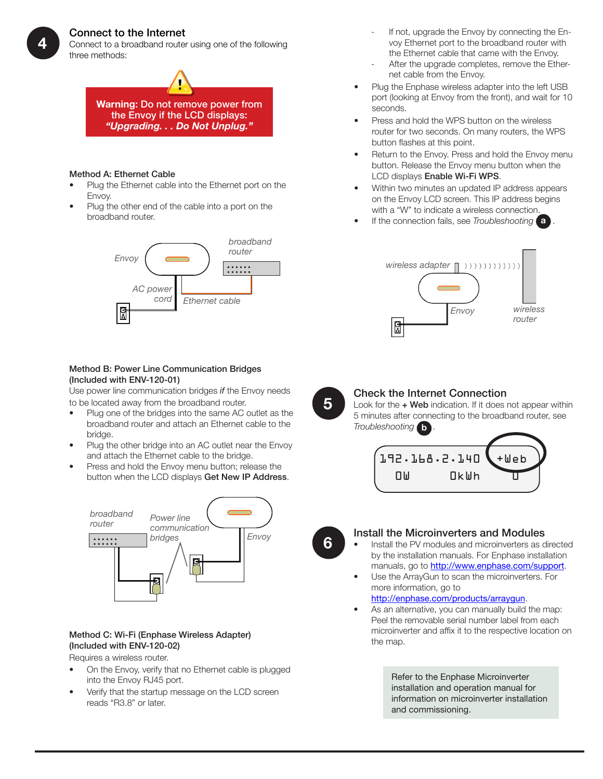#### Connect to the Internet

Connect to a broadband router using one of the following three methods:



#### Method A: Ethernet Cable

- Plug the Ethernet cable into the Ethernet port on the Envoy.
- Plug the other end of the cable into a port on the broadband router.



#### Method B: Power Line Communication Bridges (Included with ENV-120-01)

Use power line communication bridges *if* the Envoy needs to be located away from the broadband router.

- Plug one of the bridges into the same AC outlet as the broadband router and attach an Ethernet cable to the bridge.
- Plug the other bridge into an AC outlet near the Envoy and attach the Ethernet cable to the bridge.
- Press and hold the Envoy menu button; release the button when the LCD displays Get New IP Address.



#### Method C: Wi-Fi (Enphase Wireless Adapter) (Included with ENV-120-02)

Requires a wireless router.

- On the Envoy, verify that no Ethernet cable is plugged into the Envoy RJ45 port.
- Verify that the startup message on the LCD screen reads "R3.8" or later.
- If not, upgrade the Envoy by connecting the Envoy Ethernet port to the broadband router with the Ethernet cable that came with the Envoy.
- After the upgrade completes, remove the Ethernet cable from the Envoy.
- Plug the Enphase wireless adapter into the left USB port (looking at Envoy from the front), and wait for 10 seconds.
- Press and hold the WPS button on the wireless router for two seconds. On many routers, the WPS button flashes at this point.
- Return to the Envoy. Press and hold the Envoy menu button. Release the Envoy menu button when the LCD displays Enable Wi-Fi WPS.
- Within two minutes an updated IP address appears on the Envoy LCD screen. This IP address begins with a "W" to indicate a wireless connection.
- If the connection fails, see *Troubleshooting* **a** .





#### Check the Internet Connection

Look for the  $+$  Web indication. If it does not appear within 5 minutes after connecting to the broadband router, see *Troubleshooting* **b** *.*





#### Install the Microinverters and Modules

- Install the PV modules and microinverters as directed by the installation manuals. For Enphase installation manuals, go to http://www.enphase.com/support.
- Use the ArrayGun to scan the microinverters. For more information, go to

#### http://enphase.com/products/arraygun.

As an alternative, you can manually build the map: Peel the removable serial number label from each microinverter and afix it to the respective location on the map.

> Refer to the Enphase Microinverter installation and operation manual for information on microinverter installation and commissioning.